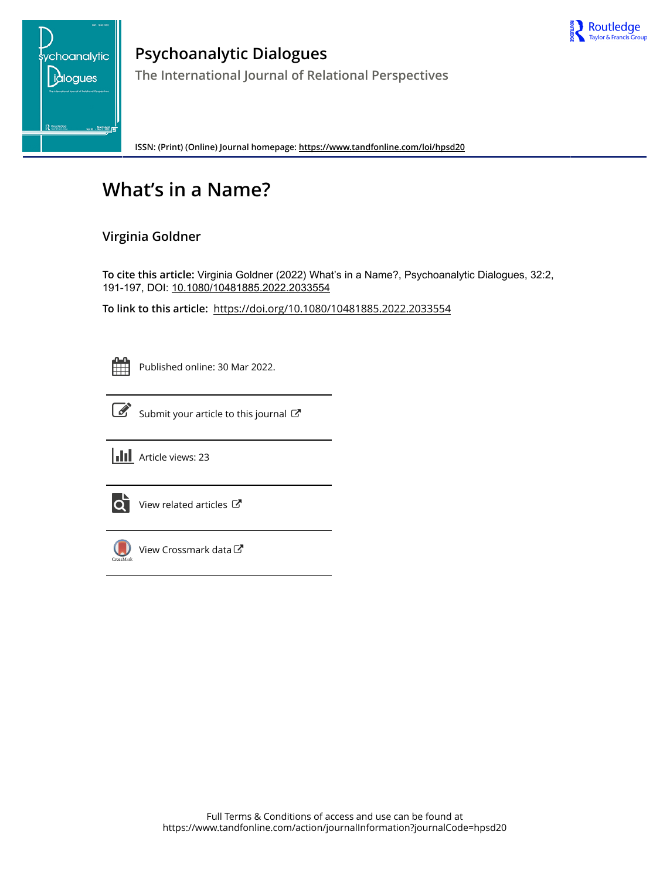



**Psychoanalytic Dialogues The International Journal of Relational Perspectives**

**ISSN: (Print) (Online) Journal homepage:<https://www.tandfonline.com/loi/hpsd20>**

# **What's in a Name?**

# **Virginia Goldner**

**To cite this article:** Virginia Goldner (2022) What's in a Name?, Psychoanalytic Dialogues, 32:2, 191-197, DOI: [10.1080/10481885.2022.2033554](https://www.tandfonline.com/action/showCitFormats?doi=10.1080/10481885.2022.2033554)

**To link to this article:** <https://doi.org/10.1080/10481885.2022.2033554>

Published online: 30 Mar 2022.



[Submit your article to this journal](https://www.tandfonline.com/action/authorSubmission?journalCode=hpsd20&show=instructions)  $\mathbb{Z}$ 





 $\overrightarrow{Q}$  [View related articles](https://www.tandfonline.com/doi/mlt/10.1080/10481885.2022.2033554)  $\overrightarrow{C}$ 



 $\bigcirc$  [View Crossmark data](http://crossmark.crossref.org/dialog/?doi=10.1080/10481885.2022.2033554&domain=pdf&date_stamp=2022-03-30)  $\mathbb{Z}$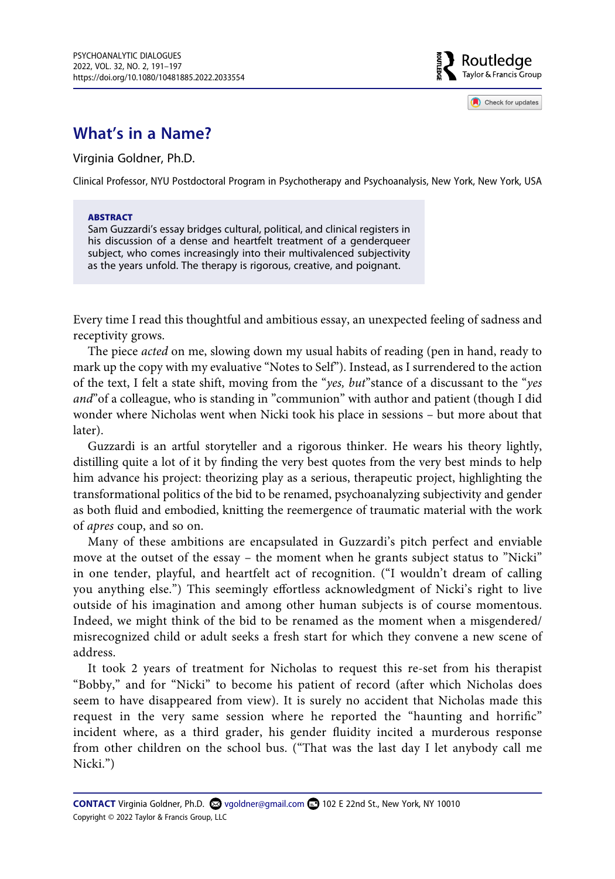

Check for updates

# **What's in a Name?**

Virginia Goldner, Ph.D.

Clinical Professor, NYU Postdoctoral Program in Psychotherapy and Psychoanalysis, New York, New York, USA

#### **ABSTRACT**

Sam Guzzardi's essay bridges cultural, political, and clinical registers in his discussion of a dense and heartfelt treatment of a genderqueer subject, who comes increasingly into their multivalenced subjectivity as the years unfold. The therapy is rigorous, creative, and poignant.

Every time I read this thoughtful and ambitious essay, an unexpected feeling of sadness and receptivity grows.

The piece *acted* on me, slowing down my usual habits of reading (pen in hand, ready to mark up the copy with my evaluative "Notes to Self"). Instead, as I surrendered to the action of the text, I felt a state shift, moving from the "*yes, but*"stance of a discussant to the "*yes and*"of a colleague, who is standing in "communion" with author and patient (though I did wonder where Nicholas went when Nicki took his place in sessions – but more about that later).

Guzzardi is an artful storyteller and a rigorous thinker. He wears his theory lightly, distilling quite a lot of it by finding the very best quotes from the very best minds to help him advance his project: theorizing play as a serious, therapeutic project, highlighting the transformational politics of the bid to be renamed, psychoanalyzing subjectivity and gender as both fluid and embodied, knitting the reemergence of traumatic material with the work of *apres* coup, and so on.

Many of these ambitions are encapsulated in Guzzardi's pitch perfect and enviable move at the outset of the essay – the moment when he grants subject status to "Nicki" in one tender, playful, and heartfelt act of recognition. ("I wouldn't dream of calling you anything else.") This seemingly effortless acknowledgment of Nicki's right to live outside of his imagination and among other human subjects is of course momentous. Indeed, we might think of the bid to be renamed as the moment when a misgendered/ misrecognized child or adult seeks a fresh start for which they convene a new scene of address.

It took 2 years of treatment for Nicholas to request this re-set from his therapist "Bobby," and for "Nicki" to become his patient of record (after which Nicholas does seem to have disappeared from view). It is surely no accident that Nicholas made this request in the very same session where he reported the "haunting and horrific" incident where, as a third grader, his gender fluidity incited a murderous response from other children on the school bus. ("That was the last day I let anybody call me Nicki.")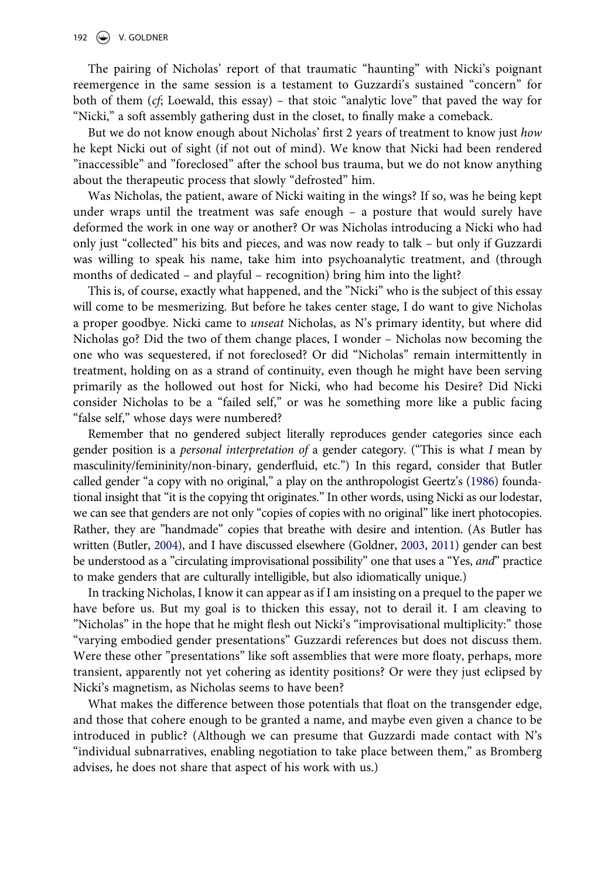#### 192  $\left(\bigstar\right)$  V. GOLDNER

The pairing of Nicholas' report of that traumatic "haunting" with Nicki's poignant reemergence in the same session is a testament to Guzzardi's sustained "concern" for both of them (*cf*; Loewald, this essay) – that stoic "analytic love" that paved the way for "Nicki," a soft assembly gathering dust in the closet, to finally make a comeback.

But we do not know enough about Nicholas' first 2 years of treatment to know just *how*  he kept Nicki out of sight (if not out of mind). We know that Nicki had been rendered "inaccessible" and "foreclosed" after the school bus trauma, but we do not know anything about the therapeutic process that slowly "defrosted" him.

Was Nicholas, the patient, aware of Nicki waiting in the wings? If so, was he being kept under wraps until the treatment was safe enough – a posture that would surely have deformed the work in one way or another? Or was Nicholas introducing a Nicki who had only just "collected" his bits and pieces, and was now ready to talk – but only if Guzzardi was willing to speak his name, take him into psychoanalytic treatment, and (through months of dedicated – and playful – recognition) bring him into the light?

This is, of course, exactly what happened, and the "Nicki" who is the subject of this essay will come to be mesmerizing. But before he takes center stage, I do want to give Nicholas a proper goodbye. Nicki came to *unseat* Nicholas, as N's primary identity, but where did Nicholas go? Did the two of them change places, I wonder – Nicholas now becoming the one who was sequestered, if not foreclosed? Or did "Nicholas" remain intermittently in treatment, holding on as a strand of continuity, even though he might have been serving primarily as the hollowed out host for Nicki, who had become his Desire? Did Nicki consider Nicholas to be a "failed self," or was he something more like a public facing "false self," whose days were numbered?

<span id="page-2-1"></span>Remember that no gendered subject literally reproduces gender categories since each gender position is a *personal interpretation of* a gender category. ("This is what *I* mean by masculinity/femininity/non-binary, genderfluid, etc.") In this regard, consider that Butler called gender "a copy with no original," a play on the anthropologist Geertz's ([1986](#page-7-0)) foundational insight that "it is the copying tht originates." In other words, using Nicki as our lodestar, we can see that genders are not only "copies of copies with no original" like inert photocopies. Rather, they are "handmade" copies that breathe with desire and intention. (As Butler has written (Butler, [2004\)](#page-7-1), and I have discussed elsewhere (Goldner, [2003](#page-7-2), [2011\)](#page-7-3) gender can best be understood as a "circulating improvisational possibility" one that uses a "Yes, *and*" practice to make genders that are culturally intelligible, but also idiomatically unique.)

<span id="page-2-0"></span>In tracking Nicholas, I know it can appear as if I am insisting on a prequel to the paper we have before us. But my goal is to thicken this essay, not to derail it. I am cleaving to "Nicholas" in the hope that he might flesh out Nicki's "improvisational multiplicity:" those "varying embodied gender presentations" Guzzardi references but does not discuss them. Were these other "presentations" like soft assemblies that were more floaty, perhaps, more transient, apparently not yet cohering as identity positions? Or were they just eclipsed by Nicki's magnetism, as Nicholas seems to have been?

What makes the difference between those potentials that float on the transgender edge, and those that cohere enough to be granted a name, and maybe even given a chance to be introduced in public? (Although we can presume that Guzzardi made contact with N's "individual subnarratives, enabling negotiation to take place between them," as Bromberg advises, he does not share that aspect of his work with us.)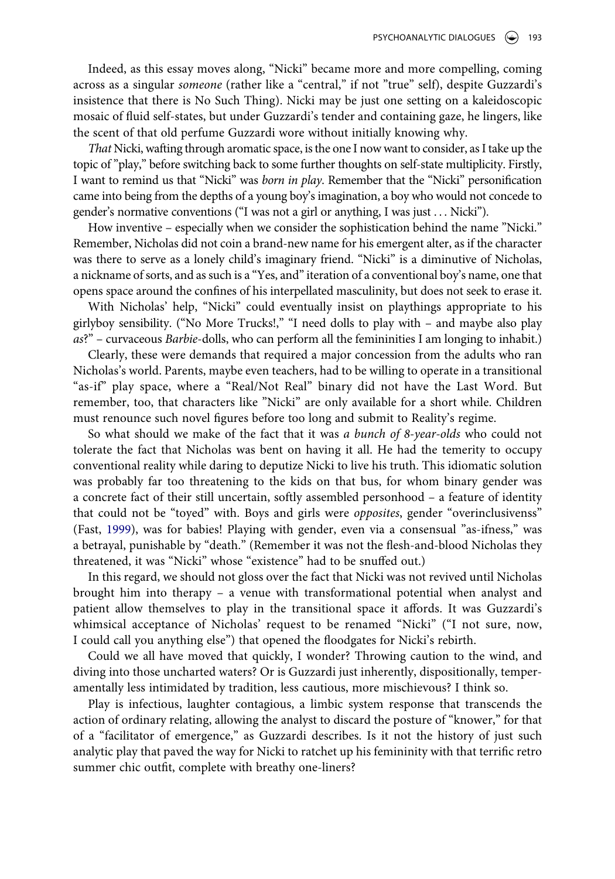Indeed, as this essay moves along, "Nicki" became more and more compelling, coming across as a singular *someone* (rather like a "central," if not "true" self), despite Guzzardi's insistence that there is No Such Thing). Nicki may be just one setting on a kaleidoscopic mosaic of fluid self-states, but under Guzzardi's tender and containing gaze, he lingers, like the scent of that old perfume Guzzardi wore without initially knowing why.

*That* Nicki, wafting through aromatic space, is the one I now want to consider, as I take up the topic of "play," before switching back to some further thoughts on self-state multiplicity. Firstly, I want to remind us that "Nicki" was *born in play*. Remember that the "Nicki" personification came into being from the depths of a young boy's imagination, a boy who would not concede to gender's normative conventions ("I was not a girl or anything, I was just . . . Nicki").

How inventive – especially when we consider the sophistication behind the name "Nicki." Remember, Nicholas did not coin a brand-new name for his emergent alter, as if the character was there to serve as a lonely child's imaginary friend. "Nicki" is a diminutive of Nicholas, a nickname of sorts, and as such is a "Yes, and" iteration of a conventional boy's name, one that opens space around the confines of his interpellated masculinity, but does not seek to erase it.

With Nicholas' help, "Nicki" could eventually insist on playthings appropriate to his girlyboy sensibility. ("No More Trucks!," "I need dolls to play with – and maybe also play *as*?" – curvaceous *Barbie*-dolls, who can perform all the femininities I am longing to inhabit.)

Clearly, these were demands that required a major concession from the adults who ran Nicholas's world. Parents, maybe even teachers, had to be willing to operate in a transitional "as-if" play space, where a "Real/Not Real" binary did not have the Last Word. But remember, too, that characters like "Nicki" are only available for a short while. Children must renounce such novel figures before too long and submit to Reality's regime.

So what should we make of the fact that it was *a bunch of 8-year-olds* who could not tolerate the fact that Nicholas was bent on having it all. He had the temerity to occupy conventional reality while daring to deputize Nicki to live his truth. This idiomatic solution was probably far too threatening to the kids on that bus, for whom binary gender was a concrete fact of their still uncertain, softly assembled personhood – a feature of identity that could not be "toyed" with. Boys and girls were *opposites*, gender "overinclusivenss" (Fast, [1999](#page-7-4)), was for babies! Playing with gender, even via a consensual "as-ifness," was a betrayal, punishable by "death." (Remember it was not the flesh-and-blood Nicholas they threatened, it was "Nicki" whose "existence" had to be snuffed out.)

<span id="page-3-0"></span>In this regard, we should not gloss over the fact that Nicki was not revived until Nicholas brought him into therapy – a venue with transformational potential when analyst and patient allow themselves to play in the transitional space it affords. It was Guzzardi's whimsical acceptance of Nicholas' request to be renamed "Nicki" ("I not sure, now, I could call you anything else") that opened the floodgates for Nicki's rebirth.

Could we all have moved that quickly, I wonder? Throwing caution to the wind, and diving into those uncharted waters? Or is Guzzardi just inherently, dispositionally, temperamentally less intimidated by tradition, less cautious, more mischievous? I think so.

Play is infectious, laughter contagious, a limbic system response that transcends the action of ordinary relating, allowing the analyst to discard the posture of "knower," for that of a "facilitator of emergence," as Guzzardi describes. Is it not the history of just such analytic play that paved the way for Nicki to ratchet up his femininity with that terrific retro summer chic outfit, complete with breathy one-liners?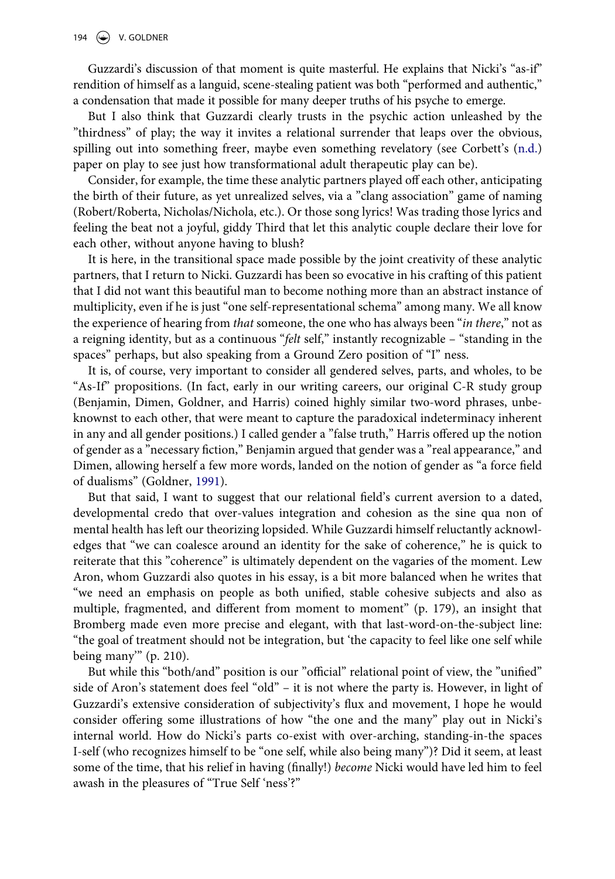#### 194  $\left(\bigstar\right)$  V. GOLDNER

Guzzardi's discussion of that moment is quite masterful. He explains that Nicki's "as-if" rendition of himself as a languid, scene-stealing patient was both "performed and authentic," a condensation that made it possible for many deeper truths of his psyche to emerge.

<span id="page-4-0"></span>But I also think that Guzzardi clearly trusts in the psychic action unleashed by the "thirdness" of play; the way it invites a relational surrender that leaps over the obvious, spilling out into something freer, maybe even something revelatory (see Corbett's  $(n.d.)$  $(n.d.)$ paper on play to see just how transformational adult therapeutic play can be).

Consider, for example, the time these analytic partners played off each other, anticipating the birth of their future, as yet unrealized selves, via a "clang association" game of naming (Robert/Roberta, Nicholas/Nichola, etc.). Or those song lyrics! Was trading those lyrics and feeling the beat not a joyful, giddy Third that let this analytic couple declare their love for each other, without anyone having to blush?

It is here, in the transitional space made possible by the joint creativity of these analytic partners, that I return to Nicki. Guzzardi has been so evocative in his crafting of this patient that I did not want this beautiful man to become nothing more than an abstract instance of multiplicity, even if he is just "one self-representational schema" among many. We all know the experience of hearing from *that* someone, the one who has always been "*in there*," not as a reigning identity, but as a continuous "*felt* self," instantly recognizable – "standing in the spaces" perhaps, but also speaking from a Ground Zero position of "I" ness.

It is, of course, very important to consider all gendered selves, parts, and wholes, to be "As-If" propositions. (In fact, early in our writing careers, our original C-R study group (Benjamin, Dimen, Goldner, and Harris) coined highly similar two-word phrases, unbeknownst to each other, that were meant to capture the paradoxical indeterminacy inherent in any and all gender positions.) I called gender a "false truth," Harris offered up the notion of gender as a "necessary fiction," Benjamin argued that gender was a "real appearance," and Dimen, allowing herself a few more words, landed on the notion of gender as "a force field of dualisms" (Goldner, [1991](#page-7-6)).

<span id="page-4-1"></span>But that said, I want to suggest that our relational field's current aversion to a dated, developmental credo that over-values integration and cohesion as the sine qua non of mental health has left our theorizing lopsided. While Guzzardi himself reluctantly acknowledges that "we can coalesce around an identity for the sake of coherence," he is quick to reiterate that this "coherence" is ultimately dependent on the vagaries of the moment. Lew Aron, whom Guzzardi also quotes in his essay, is a bit more balanced when he writes that "we need an emphasis on people as both unified, stable cohesive subjects and also as multiple, fragmented, and different from moment to moment" (p. 179), an insight that Bromberg made even more precise and elegant, with that last-word-on-the-subject line: "the goal of treatment should not be integration, but 'the capacity to feel like one self while being many'" (p. 210).

But while this "both/and" position is our "official" relational point of view, the "unified" side of Aron's statement does feel "old" – it is not where the party is. However, in light of Guzzardi's extensive consideration of subjectivity's flux and movement, I hope he would consider offering some illustrations of how "the one and the many" play out in Nicki's internal world. How do Nicki's parts co-exist with over-arching, standing-in-the spaces I-self (who recognizes himself to be "one self, while also being many")? Did it seem, at least some of the time, that his relief in having (finally!) *become* Nicki would have led him to feel awash in the pleasures of "True Self 'ness'?"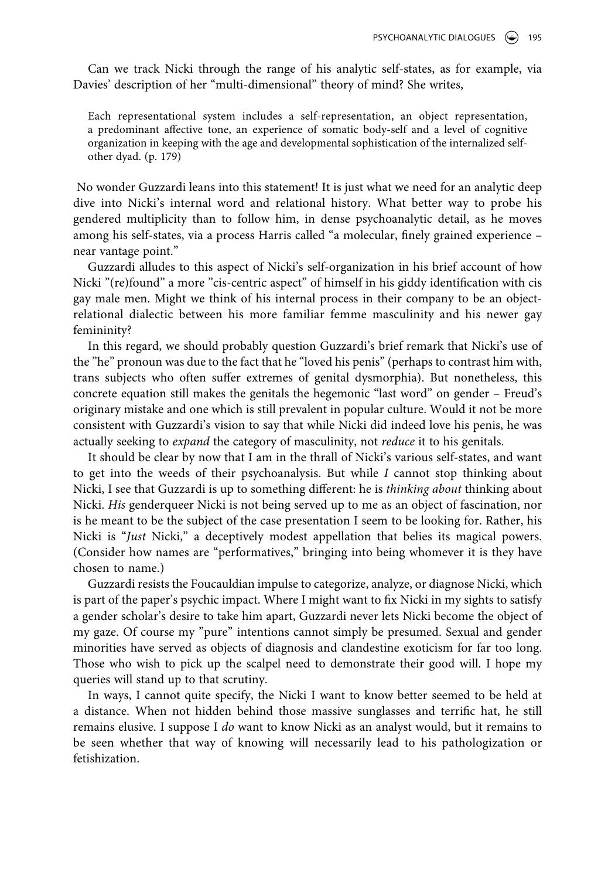Can we track Nicki through the range of his analytic self-states, as for example, via Davies' description of her "multi-dimensional" theory of mind? She writes,

Each representational system includes a self-representation, an object representation, a predominant affective tone, an experience of somatic body-self and a level of cognitive organization in keeping with the age and developmental sophistication of the internalized selfother dyad. (p. 179)

No wonder Guzzardi leans into this statement! It is just what we need for an analytic deep dive into Nicki's internal word and relational history. What better way to probe his gendered multiplicity than to follow him, in dense psychoanalytic detail, as he moves among his self-states, via a process Harris called "a molecular, finely grained experience – near vantage point."

Guzzardi alludes to this aspect of Nicki's self-organization in his brief account of how Nicki "(re)found" a more "cis-centric aspect" of himself in his giddy identification with cis gay male men. Might we think of his internal process in their company to be an objectrelational dialectic between his more familiar femme masculinity and his newer gay femininity?

In this regard, we should probably question Guzzardi's brief remark that Nicki's use of the "he" pronoun was due to the fact that he "loved his penis" (perhaps to contrast him with, trans subjects who often suffer extremes of genital dysmorphia). But nonetheless, this concrete equation still makes the genitals the hegemonic "last word" on gender – Freud's originary mistake and one which is still prevalent in popular culture. Would it not be more consistent with Guzzardi's vision to say that while Nicki did indeed love his penis, he was actually seeking to *expand* the category of masculinity, not *reduce* it to his genitals.

It should be clear by now that I am in the thrall of Nicki's various self-states, and want to get into the weeds of their psychoanalysis. But while *I* cannot stop thinking about Nicki, I see that Guzzardi is up to something different: he is *thinking about* thinking about Nicki. *His* genderqueer Nicki is not being served up to me as an object of fascination, nor is he meant to be the subject of the case presentation I seem to be looking for. Rather, his Nicki is "*Just* Nicki," a deceptively modest appellation that belies its magical powers. (Consider how names are "performatives," bringing into being whomever it is they have chosen to name.)

Guzzardi resists the Foucauldian impulse to categorize, analyze, or diagnose Nicki, which is part of the paper's psychic impact. Where I might want to fix Nicki in my sights to satisfy a gender scholar's desire to take him apart, Guzzardi never lets Nicki become the object of my gaze. Of course my "pure" intentions cannot simply be presumed. Sexual and gender minorities have served as objects of diagnosis and clandestine exoticism for far too long. Those who wish to pick up the scalpel need to demonstrate their good will. I hope my queries will stand up to that scrutiny.

In ways, I cannot quite specify, the Nicki I want to know better seemed to be held at a distance. When not hidden behind those massive sunglasses and terrific hat, he still remains elusive. I suppose I *do* want to know Nicki as an analyst would, but it remains to be seen whether that way of knowing will necessarily lead to his pathologization or fetishization.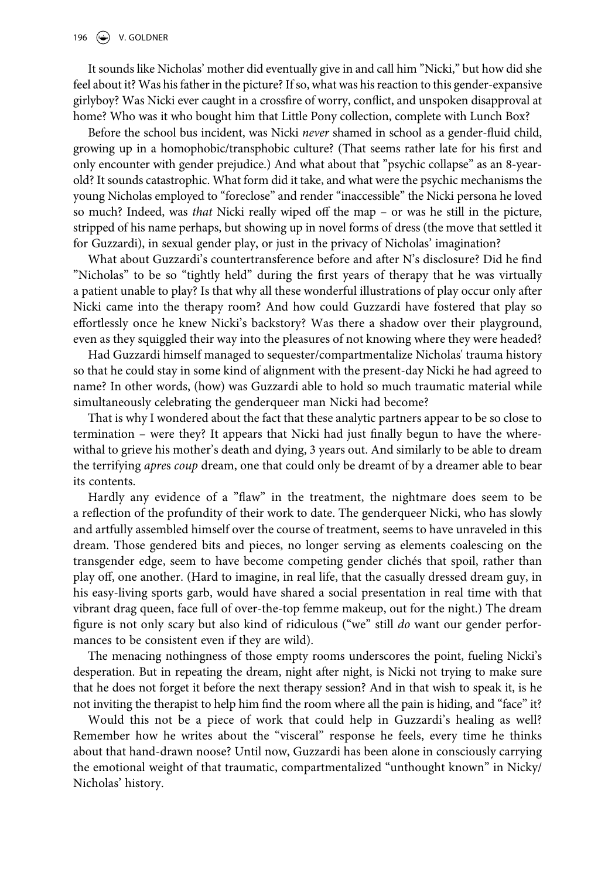#### 196  $\left(\bigstar\right)$  V. GOLDNER

It sounds like Nicholas' mother did eventually give in and call him "Nicki," but how did she feel about it? Was his father in the picture? If so, what was his reaction to this gender-expansive girlyboy? Was Nicki ever caught in a crossfire of worry, conflict, and unspoken disapproval at home? Who was it who bought him that Little Pony collection, complete with Lunch Box?

Before the school bus incident, was Nicki *never* shamed in school as a gender-fluid child, growing up in a homophobic/transphobic culture? (That seems rather late for his first and only encounter with gender prejudice.) And what about that "psychic collapse" as an 8-yearold? It sounds catastrophic. What form did it take, and what were the psychic mechanisms the young Nicholas employed to "foreclose" and render "inaccessible" the Nicki persona he loved so much? Indeed, was *that* Nicki really wiped off the map – or was he still in the picture, stripped of his name perhaps, but showing up in novel forms of dress (the move that settled it for Guzzardi), in sexual gender play, or just in the privacy of Nicholas' imagination?

What about Guzzardi's countertransference before and after N's disclosure? Did he find "Nicholas" to be so "tightly held" during the first years of therapy that he was virtually a patient unable to play? Is that why all these wonderful illustrations of play occur only after Nicki came into the therapy room? And how could Guzzardi have fostered that play so effortlessly once he knew Nicki's backstory? Was there a shadow over their playground, even as they squiggled their way into the pleasures of not knowing where they were headed?

Had Guzzardi himself managed to sequester/compartmentalize Nicholas' trauma history so that he could stay in some kind of alignment with the present-day Nicki he had agreed to name? In other words, (how) was Guzzardi able to hold so much traumatic material while simultaneously celebrating the genderqueer man Nicki had become?

That is why I wondered about the fact that these analytic partners appear to be so close to termination – were they? It appears that Nicki had just finally begun to have the wherewithal to grieve his mother's death and dying, 3 years out. And similarly to be able to dream the terrifying *apre*s *coup* dream, one that could only be dreamt of by a dreamer able to bear its contents.

Hardly any evidence of a "flaw" in the treatment, the nightmare does seem to be a reflection of the profundity of their work to date. The genderqueer Nicki, who has slowly and artfully assembled himself over the course of treatment, seems to have unraveled in this dream. Those gendered bits and pieces, no longer serving as elements coalescing on the transgender edge, seem to have become competing gender clichés that spoil, rather than play off, one another. (Hard to imagine, in real life, that the casually dressed dream guy, in his easy-living sports garb, would have shared a social presentation in real time with that vibrant drag queen, face full of over-the-top femme makeup, out for the night.) The dream figure is not only scary but also kind of ridiculous ("we" still *do* want our gender performances to be consistent even if they are wild).

The menacing nothingness of those empty rooms underscores the point, fueling Nicki's desperation. But in repeating the dream, night after night, is Nicki not trying to make sure that he does not forget it before the next therapy session? And in that wish to speak it, is he not inviting the therapist to help him find the room where all the pain is hiding, and "face" it?

Would this not be a piece of work that could help in Guzzardi's healing as well? Remember how he writes about the "visceral" response he feels, every time he thinks about that hand-drawn noose? Until now, Guzzardi has been alone in consciously carrying the emotional weight of that traumatic, compartmentalized "unthought known" in Nicky/ Nicholas' history.